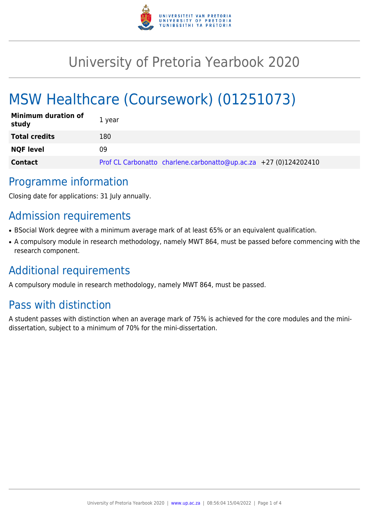

# University of Pretoria Yearbook 2020

# MSW Healthcare (Coursework) (01251073)

| <b>Minimum duration of</b><br>study | 1 year                                                           |
|-------------------------------------|------------------------------------------------------------------|
| <b>Total credits</b>                | 180                                                              |
| <b>NQF level</b>                    | 09                                                               |
| <b>Contact</b>                      | Prof CL Carbonatto charlene.carbonatto@up.ac.za +27 (0)124202410 |

### Programme information

Closing date for applications: 31 July annually.

## Admission requirements

- BSocial Work degree with a minimum average mark of at least 65% or an equivalent qualification.
- A compulsory module in research methodology, namely MWT 864, must be passed before commencing with the research component.

## Additional requirements

A compulsory module in research methodology, namely MWT 864, must be passed.

## Pass with distinction

A student passes with distinction when an average mark of 75% is achieved for the core modules and the minidissertation, subject to a minimum of 70% for the mini-dissertation.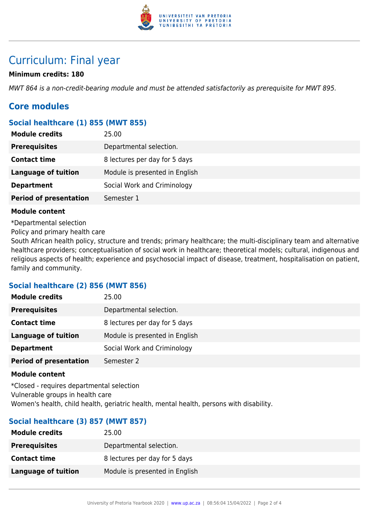

### Curriculum: Final year

#### **Minimum credits: 180**

MWT 864 is a non-credit-bearing module and must be attended satisfactorily as prerequisite for MWT 895.

### **Core modules**

#### **Social healthcare (1) 855 (MWT 855)**

| <b>Module credits</b>         | 25.00                          |
|-------------------------------|--------------------------------|
| <b>Prerequisites</b>          | Departmental selection.        |
| <b>Contact time</b>           | 8 lectures per day for 5 days  |
| <b>Language of tuition</b>    | Module is presented in English |
| <b>Department</b>             | Social Work and Criminology    |
| <b>Period of presentation</b> | Semester 1                     |

#### **Module content**

\*Departmental selection

Policy and primary health care

South African health policy, structure and trends; primary healthcare; the multi-disciplinary team and alternative healthcare providers; conceptualisation of social work in healthcare; theoretical models; cultural, indigenous and religious aspects of health; experience and psychosocial impact of disease, treatment, hospitalisation on patient, family and community.

#### **Social healthcare (2) 856 (MWT 856)**

| 25.00                          |
|--------------------------------|
| Departmental selection.        |
| 8 lectures per day for 5 days  |
| Module is presented in English |
| Social Work and Criminology    |
| Semester 2                     |
|                                |

#### **Module content**

\*Closed - requires departmental selection Vulnerable groups in health care Women's health, child health, geriatric health, mental health, persons with disability.

#### **Social healthcare (3) 857 (MWT 857)**

| 25.00                          |
|--------------------------------|
| Departmental selection.        |
| 8 lectures per day for 5 days  |
| Module is presented in English |
|                                |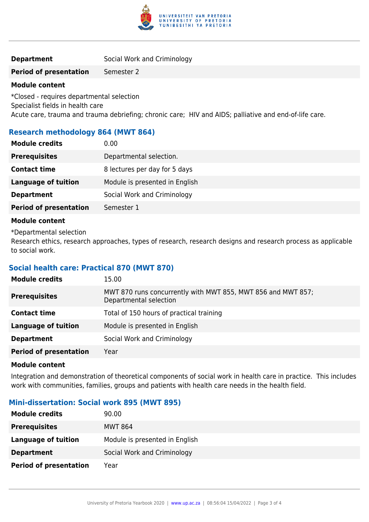

#### **Period of presentation** Semester 2

#### **Module content**

\*Closed - requires departmental selection Specialist fields in health care Acute care, trauma and trauma debriefing; chronic care; HIV and AIDS; palliative and end-of-life care.

#### **Research methodology 864 (MWT 864)**

| <b>Prerequisites</b><br>Departmental selection.<br><b>Contact time</b><br>8 lectures per day for 5 days<br>Module is presented in English<br><b>Language of tuition</b><br>Social Work and Criminology<br><b>Department</b><br><b>Period of presentation</b><br>Semester 1 | <b>Module credits</b> | 0.00 |
|----------------------------------------------------------------------------------------------------------------------------------------------------------------------------------------------------------------------------------------------------------------------------|-----------------------|------|
|                                                                                                                                                                                                                                                                            |                       |      |
|                                                                                                                                                                                                                                                                            |                       |      |
|                                                                                                                                                                                                                                                                            |                       |      |
|                                                                                                                                                                                                                                                                            |                       |      |
|                                                                                                                                                                                                                                                                            |                       |      |

#### **Module content**

\*Departmental selection

Research ethics, research approaches, types of research, research designs and research process as applicable to social work.

#### **Social health care: Practical 870 (MWT 870)**

| <b>Module credits</b>         | 15.00                                                                                  |
|-------------------------------|----------------------------------------------------------------------------------------|
| <b>Prerequisites</b>          | MWT 870 runs concurrently with MWT 855, MWT 856 and MWT 857;<br>Departmental selection |
| <b>Contact time</b>           | Total of 150 hours of practical training                                               |
| <b>Language of tuition</b>    | Module is presented in English                                                         |
| <b>Department</b>             | Social Work and Criminology                                                            |
| <b>Period of presentation</b> | Year                                                                                   |

#### **Module content**

Integration and demonstration of theoretical components of social work in health care in practice. This includes work with communities, families, groups and patients with health care needs in the health field.

#### **Mini-dissertation: Social work 895 (MWT 895)**

| <b>Module credits</b>         | 90.00                          |
|-------------------------------|--------------------------------|
| <b>Prerequisites</b>          | <b>MWT 864</b>                 |
| Language of tuition           | Module is presented in English |
| <b>Department</b>             | Social Work and Criminology    |
| <b>Period of presentation</b> | Year                           |